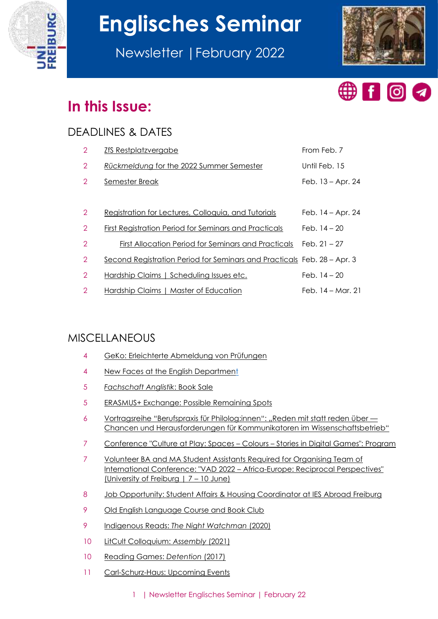

# **Englisches Seminar**

Newsletter |February 2022





# **In this Issue:**

# DEADLINES & DATES

| $\overline{2}$ | <b>ZfS Restplatzvergabe</b>                                             | From Feb. 7         |
|----------------|-------------------------------------------------------------------------|---------------------|
| $\overline{2}$ | Rückmeldung for the 2022 Summer Semester                                | Until Feb. 15       |
| $\overline{2}$ | Semester Break                                                          | Feb. 13 - Apr. 24   |
|                |                                                                         |                     |
| $\overline{2}$ | Registration for Lectures, Colloquia, and Tutorials                     | Feb. $14 -$ Apr. 24 |
| $\overline{2}$ | First Registration Period for Seminars and Practicals                   | Feb. $14 - 20$      |
| $\overline{2}$ | First Allocation Period for Seminars and Practicals                     | Feb. $21 - 27$      |
| $\overline{2}$ | Second Registration Period for Seminars and Practicals Feb. 28 – Apr. 3 |                     |
| $\overline{2}$ | Hardship Claims   Scheduling Issues etc.                                | Feb. $14 - 20$      |
| 2              | Hardship Claims   Master of Education                                   | Feb. 14 – Mar. 21   |

# MISCELLANEOUS

|  |  | GeKo: Erleichterte Abmeldung von Prüfungen |  |  |
|--|--|--------------------------------------------|--|--|
|--|--|--------------------------------------------|--|--|

- [New Faces at the English Department](#page-3-1)
- *[Fachschaft Anglistik](#page-4-0)*: Book Sale
- [ERASMUS+ Exchange: Possible Remaining Spots](#page-4-1)
- [Vortragsreihe "Berufspraxis für Philolog:innen": "Reden mit statt reden ü](#page-5-0)ber -[Chancen und Herausforderungen für Kommunikatoren im Wissenschaftsbetrieb"](#page-5-0)
- [Conference "Culture at Play: Spaces](#page-6-0)  Colours Stories in Digital Games": Program
- [Volunteer BA and MA Student Assistants Required for Organising Team of](#page-6-1)  International Conference: "VAD 2022 – [Africa-Europe: Reciprocal Perspectives"](#page-6-1)  [\(University of Freiburg | 7](#page-6-1) – 10 June)
- [Job Opportunity: Student Affairs & Housing Coordinator at IES Abroad Freiburg](#page-7-0)
- [Old English Language Course and Book Club](#page-8-0)
- Indigenous Reads: *[The Night Watchman](#page-8-1)* (2020)
- [LitCult Colloquium:](#page-9-0) *Assembly* (2021)
- [Reading Games:](#page-9-1) *Detention* (2017)
- [Carl-Schurz-Haus: Upcoming Events](#page-10-0)
	- 1 | Newsletter Englisches Seminar | February 22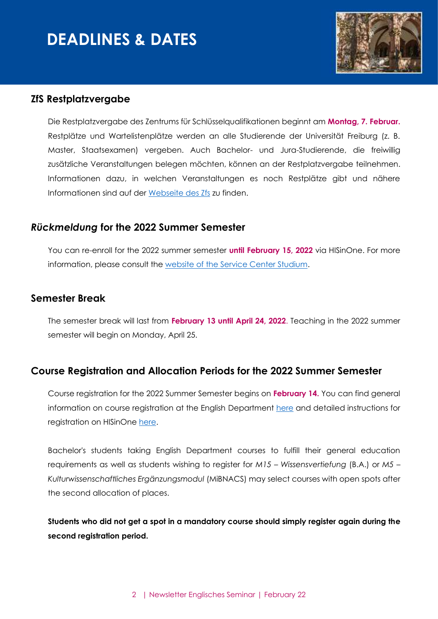# **DEADLINES & DATES**



#### <span id="page-1-0"></span>**ZfS Restplatzvergabe**

Die Restplatzvergabe des Zentrums für Schlüsselqualifikationen beginnt am **Montag, 7. Februar.** Restplätze und Wartelistenplätze werden an alle Studierende der Universität Freiburg (z. B. Master, Staatsexamen) vergeben. Auch Bachelor- und Jura-Studierende, die freiwillig zusätzliche Veranstaltungen belegen möchten, können an der Restplatzvergabe teilnehmen. Informationen dazu, in welchen Veranstaltungen es noch Restplätze gibt und nähere Informationen sind auf der [Webseite des Zfs](https://www.zfs.uni-freiburg.de/de/restplaetze-fuer-alle-studierenden) zu finden.

#### <span id="page-1-1"></span>*Rückmeldung* **for the 2022 Summer Semester**

You can re-enroll for the 2022 summer semester **until February 15, 2022** via HISinOne. For more information, please consult the [website of the Service Center Studium.](https://www.studium.uni-freiburg.de/en/student-services/registration?set_language=en)

#### <span id="page-1-2"></span>**Semester Break**

The semester break will last from **February 13 until April 24, 2022**. Teaching in the 2022 summer semester will begin on Monday, April 25.

#### <span id="page-1-3"></span>**Course Registration and Allocation Periods for the 2022 Summer Semester**

Course registration for the 2022 Summer Semester begins on **February 14.** You can find general information on course registration at the English Department [here](https://www.anglistik.uni-freiburg.de/current-students/course-registration?set_language=en) and detailed instructions for registration on HISinOne [here.](https://wiki.uni-freiburg.de/campusmanagement/doku.php?id=hisinone:studieren:belegen_en)

Bachelor's students taking English Department courses to fulfill their general education requirements as well as students wishing to register for *M15 – Wissensvertiefung* (B.A.) or *M5 – Kulturwissenschaftliches Ergänzungsmodul* (MiBNACS) may select courses with open spots after the second allocation of places.

**Students who did not get a spot in a mandatory course should simply register again during the second registration period.**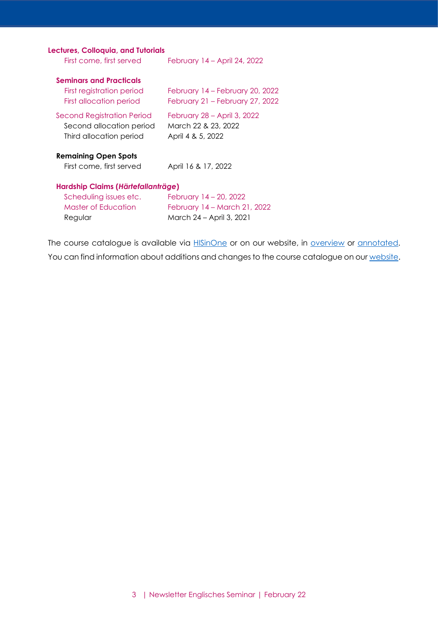#### **Lectures, Colloquia, and Tutorials**

| First come, first served                                                                       | February 14 – April 24, 2022                                                       |
|------------------------------------------------------------------------------------------------|------------------------------------------------------------------------------------|
| <b>Seminars and Practicals</b><br>First registration period<br>First allocation period         | February 14 - February 20, 2022<br>February 21 – February 27, 2022                 |
| Second Registration Period<br>Second allocation period<br>Third allocation period              | February 28 – April 3, 2022<br>March 22 & 23, 2022<br>April 4 & 5, 2022            |
| <b>Remaining Open Spots</b><br>First come, first served                                        | April 16 & 17, 2022                                                                |
| Hardship Claims (Härtefallanträge)<br>Scheduling issues etc.<br>Master of Education<br>Regular | February 14 – 20, 2022<br>February 14 - March 21, 2022<br>March 24 - April 3, 2021 |

The course catalogue is available via **HISinOne** or on our website, in **overview** or **annotated**. You can find information about additions and changes to the course catalogue on our [website.](https://www.anglistik.uni-freiburg.de/studiumlehre/lehrveranstaltungen)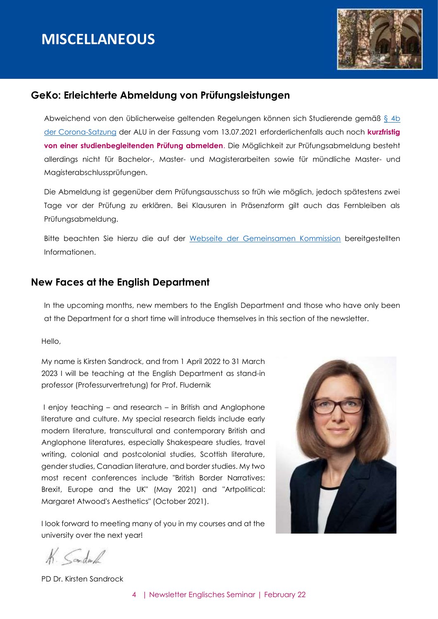

#### <span id="page-3-0"></span>**GeKo: Erleichterte Abmeldung von Prüfungsleistungen**

Abweichend von den üblicherweise geltenden Regelungen können sich Studierende gemäß § 4b [der Corona-Satzung](https://uni-freiburg.de/universitaet/wp-content/uploads/sites/3/2020/10/Uni-Freiburg-Lesefassung-Corona-Satzung.pdf) der ALU in der Fassung vom 13.07.2021 erforderlichenfalls auch noch **kurzfristig von einer studienbegleitenden Prüfung abmelden**. Die Möglichkeit zur Prüfungsabmeldung besteht allerdings nicht für Bachelor-, Master- und Magisterarbeiten sowie für mündliche Master- und Magisterabschlussprüfungen.

Die Abmeldung ist gegenüber dem Prüfungsausschuss so früh wie möglich, jedoch spätestens zwei Tage vor der Prüfung zu erklären. Bei Klausuren in Präsenzform gilt auch das Fernbleiben als Prüfungsabmeldung.

Bitte beachten Sie hierzu die auf der [Webseite der Gemeinsamen Kommission](https://www.geko.uni-freiburg.de/corona#Abmeldung) bereitgestellten Informationen.

#### <span id="page-3-1"></span>**New Faces at the English Department**

In the upcoming months, new members to the English Department and those who have only been at the Department for a short time will introduce themselves in this section of the newsletter.

Hello,

My name is Kirsten Sandrock, and from 1 April 2022 to 31 March 2023 I will be teaching at the English Department as stand-in professor (Professurvertretung) for Prof. Fludernik

I enjoy teaching – and research – in British and Anglophone literature and culture. My special research fields include early modern literature, transcultural and contemporary British and Anglophone literatures, especially Shakespeare studies, travel writing, colonial and postcolonial studies, Scottish literature, gender studies, Canadian literature, and border studies. My two most recent conferences include "British Border Narratives: Brexit, Europe and the UK" (May 2021) and "Artpolitical: Margaret Atwood's Aesthetics" (October 2021).

I look forward to meeting many of you in my courses and at the university over the next year!



K. Sandwich

PD Dr. Kirsten Sandrock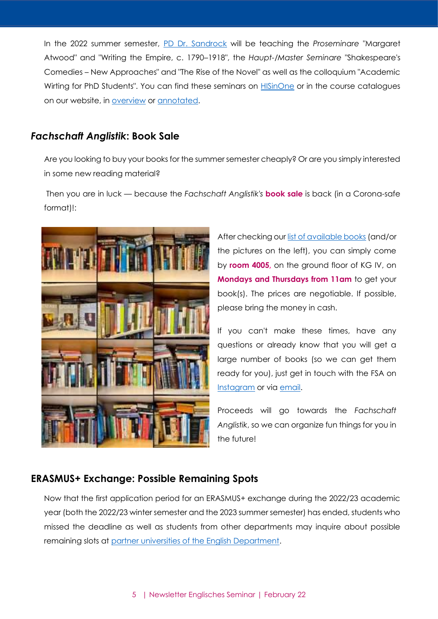In the 2022 summer semester, [PD Dr. Sandrock](https://www.anglistik.uni-freiburg.de/department/faculty-and-staff/sandrock) will be teaching the *Proseminare* "Margaret Atwood" and "Writing the Empire, c. 1790–1918", the *Haupt-/Master Seminare* "Shakespeare's Comedies – New Approaches" and "The Rise of the Novel" as well as the colloquium "Academic Wirting for PhD Students". You can find these seminars on [HISinOne](https://campus.uni-freiburg.de/qisserver/pages/cm/exa/coursecatalog/showCourseCatalog.xhtml?_flowId=showCourseCatalog-flow&_flowExecutionKey=e1s1) or in the course catalogues on our website, in [overview](https://www.anglistik.uni-freiburg.de/studiumlehre/lehrveranstaltungen/vlvz/sommersemester22) or [annotated.](https://www.anglistik.uni-freiburg.de/studiumlehre/lehrveranstaltungen/kommentiert/sose22)

#### <span id="page-4-0"></span>*Fachschaft Anglistik***: Book Sale**

Are you looking to buy your books for the summer semester cheaply? Or are you simply interested in some new reading material?

Then you are in luck — because the *Fachschaft Anglistik's* **book sale** is back (in a Corona-safe format)!:



After checking our [list of available books](https://www.anglistik.uni-freiburg.de/fachschaft/FSA_Book_Sale_Inventory.pdf) (and/or the pictures on the left), you can simply come by **room 4005,** on the ground floor of KG IV, on **Mondays and Thursdays from 11am** to get your book(s). The prices are negotiable. If possible, please bring the money in cash.

If you can't make these times, have any questions or already know that you will get a large number of books (so we can get them ready for you), just get in touch with the FSA on [Instagram](https://www.anglistik.uni-freiburg.de/data/fachschaft-instagram) or via [email.](https://www.anglistik.uni-freiburg.de/data/fachschaft-contact)

Proceeds will go towards the *Fachschaft Anglistik*, so we can organize fun things for you in the future!

## <span id="page-4-1"></span>**ERASMUS+ Exchange: Possible Remaining Spots**

Now that the first application period for an ERASMUS+ exchange during the 2022/23 academic year (both the 2022/23 winter semester and the 2023 summer semester) has ended, students who missed the deadline as well as students from other departments may inquire about possible remaining slots at [partner universities of the English Department.](https://www.anglistik.uni-freiburg.de/study-abroad/going/index)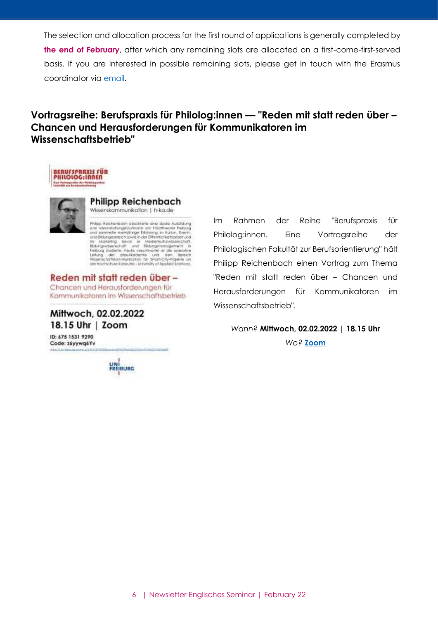The selection and allocation process for the first round of applications is generally completed by **the end of February**, after which any remaining slots are allocated on a first-come-first-served basis. If you are interested in possible remaining slots, please get in touch with the Erasmus coordinator via [email.](mailto:erasmus@anglistik.uni-freiburg.de)

# <span id="page-5-0"></span>**Vortragsreihe: Berufspraxis für Philolog:innen — "Reden mit statt reden über – Chancen und Herausforderungen für Kommunikatoren im Wissenschaftsbetrieb"**





#### **Philipp Reichenbach**

Wissenskommunikation | h-ka.de

Prilos Recherboch absolvente ene duole Autoldung Prilips Rechterbach absolvierte eine duole Autoidung<br>
zum Verentofungslaufmann am Dadffleeder<br>
zum Schriftstein (1981)<br>
zum Schriftstein Einstein Katus, Exercic<br>
im Matkefing, bear in der Offentlichkeitspiele und<br>
im Matke

**Collaboration Control** 

Reden mit statt reden über-Chancen und Herausforderungen für Kommunikatoren im Wissenschaftsbetrieb

Mittwoch, 02.02.2022 18.15 Uhr | Zoom

ID: 675 1531 9290 Code: záyywqéYv

UNI<br>FREIBURG

Im Rahmen der Reihe "Berufspraxis für Philolog:innen. Eine Vortragsreihe der Philologischen Fakultät zur Berufsorientierung" hält Philipp Reichenbach einen Vortrag zum Thema "Reden mit statt reden über – Chancen und Herausforderungen für Kommunikatoren im Wissenschaftsbetrieb".

*Wann?* **Mittwoch, 02.02.2022 | 18.15 Uhr** *Wo?* **[Zoom](https://uni-freiburg.zoom.us/j/67515319290?pwd=d0tYZVRaMlQvZGMwVFJlMGZ1NjU5dz09)**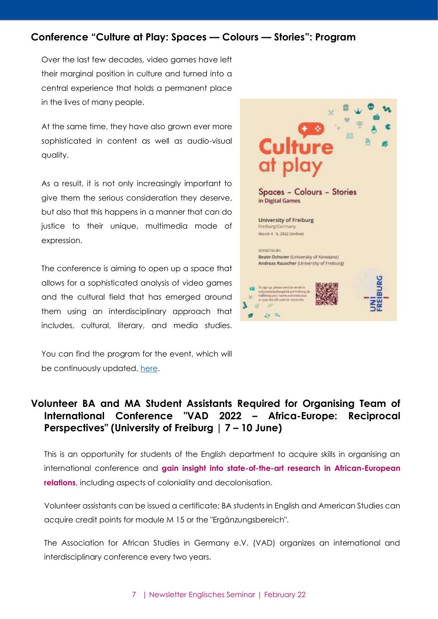#### <span id="page-6-0"></span>**Conference "Culture at Play: Spaces — Colours — Stories": Program**

Over the last few decades, video games have left their marginal position in culture and turned into a central experience that holds a permanent place in the lives of many people.

At the same time, they have also grown ever more sophisticated in content as well as audio-visual quality.

As a result, it is not only increasingly important to give them the serious consideration they deserve, but also that this happens in a manner that can do justice to their unique, multimedia mode of expression.

The conference is aiming to open up a space that allows for a sophisticated analysis of video games and the cultural field that has emerged around them using an interdisciplinary approach that includes, cultural, literary, and media studies.

You can find the program for the event, which will be continuously updated, [here.](https://www.anglistik.uni-freiburg.de/events/CultureatPlay.pdf)



## <span id="page-6-1"></span>**Volunteer BA and MA Student Assistants Required for Organising Team of International Conference "VAD 2022 – Africa-Europe: Reciprocal Perspectives" (University of Freiburg | 7 – 10 June)**

This is an opportunity for students of the English department to acquire skills in organising an international conference and **gain insight into state-of-the-art research in African-European relations**, including aspects of coloniality and decolonisation.

Volunteer assistants can be issued a certificate; BA students in English and American Studies can acquire credit points for module M 15 or the "Ergänzungsbereich".

The Association for African Studies in Germany e.V. (VAD) organizes an international and interdisciplinary conference every two years.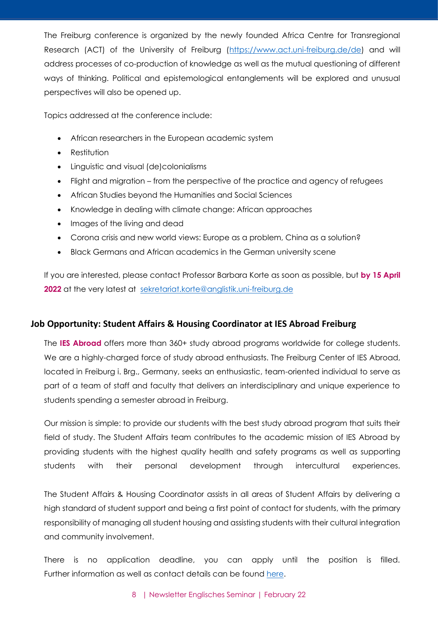The Freiburg conference is organized by the newly founded Africa Centre for Transregional Research (ACT) of the University of Freiburg [\(https://www.act.uni-freiburg.de/de\)](https://www.act.uni-freiburg.de/de) and will address processes of co-production of knowledge as well as the mutual questioning of different ways of thinking. Political and epistemological entanglements will be explored and unusual perspectives will also be opened up.

Topics addressed at the conference include:

- African researchers in the European academic system
- Restitution
- Linguistic and visual (de)colonialisms
- Flight and migration from the perspective of the practice and agency of refugees
- African Studies beyond the Humanities and Social Sciences
- Knowledge in dealing with climate change: African approaches
- Images of the living and dead
- Corona crisis and new world views: Europe as a problem, China as a solution?
- Black Germans and African academics in the German university scene

If you are interested, please contact Professor Barbara Korte as soon as possible, but **by 15 April**  2022 at the very latest at [sekretariat.korte@anglistik.uni-freiburg.de](mailto:sekretariat.korte@anglistik.uni-freiburg.de)

#### <span id="page-7-0"></span>**Job Opportunity: Student Affairs & Housing Coordinator at IES Abroad Freiburg**

The **IES Abroad** offers more than 360+ study abroad programs worldwide for college students. We are a highly-charged force of study abroad enthusiasts. The Freiburg Center of IES Abroad, located in Freiburg i. Brg., Germany, seeks an enthusiastic, team-oriented individual to serve as part of a team of staff and faculty that delivers an interdisciplinary and unique experience to students spending a semester abroad in Freiburg.

Our mission is simple: to provide our students with the best study abroad program that suits their field of study. The Student Affairs team contributes to the academic mission of IES Abroad by providing students with the highest quality health and safety programs as well as supporting students with their personal development through intercultural experiences.

The Student Affairs & Housing Coordinator assists in all areas of Student Affairs by delivering a high standard of student support and being a first point of contact for students, with the primary responsibility of managing all student housing and assisting students with their cultural integration and community involvement.

There is no application deadline, you can apply until the position is filled. Further information as well as contact details can be found [here.](https://www.anglistik.uni-freiburg.de/opportunities/IES%20Abroad%20Freiburg%20Job%20Posting%20Student%20Affairs.pdf)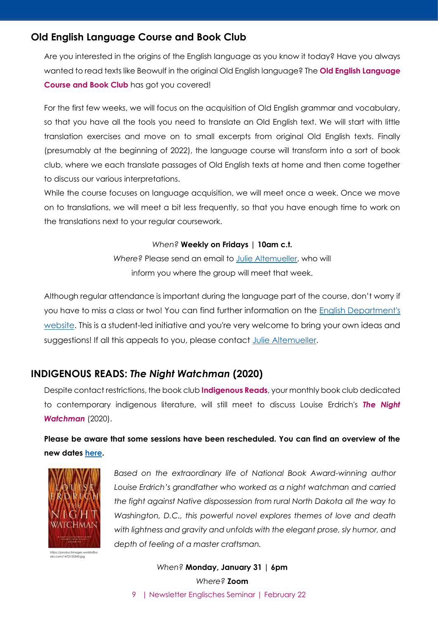#### <span id="page-8-0"></span>**Old English Language Course and Book Club**

Are you interested in the origins of the English language as you know it today? Have you always wanted to read texts like Beowulf in the original Old English language? The **Old English Language Course and Book Club** has got you covered!

For the first few weeks, we will focus on the acquisition of Old English grammar and vocabulary, so that you have all the tools you need to translate an Old English text. We will start with little translation exercises and move on to small excerpts from original Old English texts. Finally (presumably at the beginning of 2022), the language course will transform into a sort of book club, where we each translate passages of Old English texts at home and then come together to discuss our various interpretations.

While the course focuses on language acquisition, we will meet once a week. Once we move on to translations, we will meet a bit less frequently, so that you have enough time to work on the translations next to your regular coursework.

#### *When?* **Weekly on Fridays | 10am c.t.**

*Where?* Please send an email to [Julie Altemueller,](mailto:julie.altemueller@gmail.com) who will inform you where the group will meet that week.

Although regular attendance is important during the language part of the course, don't worry if you have to miss a class or two! You can find further information on the [English Department's](https://www.anglistik.uni-freiburg.de/readinggroups/old-english-book-club)  [website.](https://www.anglistik.uni-freiburg.de/readinggroups/old-english-book-club) This is a student-led initiative and you're very welcome to bring your own ideas and suggestions! If all this appeals to you, please contact [Julie Altemueller](mailto:julie.altemueller@gmail.com).

## <span id="page-8-1"></span>**INDIGENOUS READS:** *The Night Watchman* **(2020)**

Despite contact restrictions, the book club **Indigenous Reads**, your monthly book club dedicated to contemporary indigenous literature, will still meet to discuss Louise Erdrich's *The Night Watchman* (2020).

**Please be aware that some sessions have been rescheduled. You can find an overview of the new dates [here.](https://www.anglistik.uni-freiburg.de/readinggroups/indigenous-reads)**



https://productimages.worldofbo oks.com/1472155343.jpg

*Based on the extraordinary life of National Book Award-winning author Louise Erdrich's grandfather who worked as a night watchman and carried the fight against Native dispossession from rural North Dakota all the way to Washington, D.C., this powerful novel explores themes of love and death with lightness and gravity and unfolds with the elegant prose, sly humor, and depth of feeling of a master craftsman.*

9 | Newsletter Englisches Seminar | February 22 *When?* **Monday, January 31 | 6pm** *Where?* **Zoom**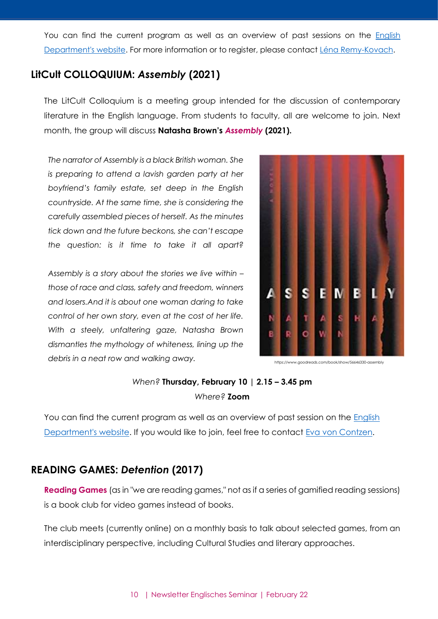You can find the current program as well as an overview of past sessions on the **English** [Department's website.](https://www.anglistik.uni-freiburg.de/readinggroups/indigreads) For more information or to register, please contact [Léna Remy-Kovach.](mailto:lenaremykovach@gmail.com)

# <span id="page-9-0"></span>**LitCult COLLOQUIUM:** *Assembly* **(2021)**

The LitCult Colloquium is a meeting group intended for the discussion of contemporary literature in the English language. From students to faculty, all are welcome to join. Next month, the group will discuss **Natasha Brown's** *Assembly* **(2021).**

*The narrator of Assembly is a black British woman. She is preparing to attend a lavish garden party at her boyfriend's family estate, set deep in the English countryside. At the same time, she is considering the carefully assembled pieces of herself. As the minutes tick down and the future beckons, she can't escape the question: is it time to take it all apart?*

*Assembly is a story about the stories we live within – those of race and class, safety and freedom, winners and losers.And it is about one woman daring to take control of her own story, even at the cost of her life. With a steely, unfaltering gaze, Natasha Brown dismantles the mythology of whiteness, lining up the debris in a neat row and walking away.*



https://www.goodreads.com/book/show/56646330-assembly

## *When?* **Thursday, February 10 | 2.15 – 3.45 pm** *Where?* **Zoom**

You can find the current program as well as an overview of past session on the English [Department's website.](https://www.anglistik.uni-freiburg.de/readinggroups/litcult-colloquium) If you would like to join, feel free to contact [Eva von Contzen.](mailto:eva.voncontzen@anglistik.uni-freiburg.de)

# <span id="page-9-1"></span>**READING GAMES:** *Detention* **(2017)**

**Reading Games** (as in "we are reading games," not as if a series of gamified reading sessions) is a book club for video games instead of books.

The club meets (currently online) on a monthly basis to talk about selected games, from an interdisciplinary perspective, including Cultural Studies and literary approaches.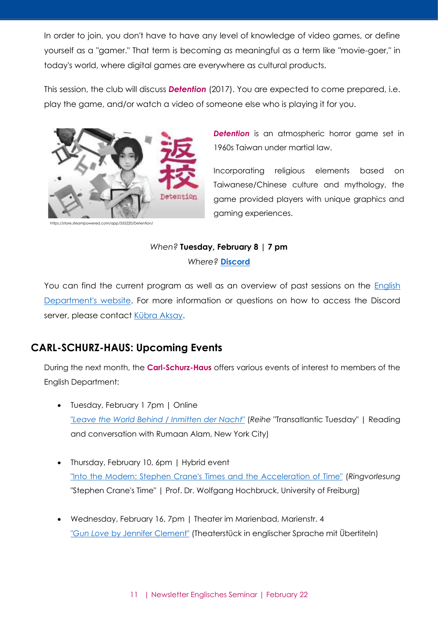In order to join, you don't have to have any level of knowledge of video games, or define yourself as a "gamer." That term is becoming as meaningful as a term like "movie-goer," in today's world, where digital games are everywhere as cultural products.

This session, the club will discuss *Detention* (2017). You are expected to come prepared, i.e. play the game, and/or watch a video of someone else who is playing it for you.



https://store.steampowered.com/app/555220/Detention/

**Detention** is an atmospheric horror game set in 1960s Taiwan under martial law.

Incorporating religious elements based on Taiwanese/Chinese culture and mythology, the game provided players with unique graphics and gaming experiences.

#### *When?* **Tuesday, February 8 | 7 pm**

*Where?* **[Discord](https://discordapp.com/invite/x6TjNYm)**

You can find the current program as well as an overview of past sessions on the [English](https://www.anglistik.uni-freiburg.de/readinggroups/games)  [Department's website.](https://www.anglistik.uni-freiburg.de/readinggroups/games) For more information or questions on how to access the Discord server, please contact [Kübra Aksay.](mailto:kubraaksay@gmail.com)

# <span id="page-10-0"></span>**CARL-SCHURZ-HAUS: Upcoming Events**

During the next month, the **Carl-Schurz-Haus** offers various events of interest to members of the English Department:

- Tuesday, February 1 7pm | Online "*[Leave the World Behind](http://www.carl-schurz-haus.de/veranstaltungen/einzelansicht.html?tx_tdcalendar_pi1%5Byear%5D=2022&tx_tdcalendar_pi1%5Bmonth%5D=02&tx_tdcalendar_pi1%5Bday%5D=01&tx_tdcalendar_pi1%5Bevent%5D=1324&cHash=a6c611d5c41c8691a238390ec2b093f9)* / *Inmitten der Nacht*" (*Reihe* "Transatlantic Tuesday" | Reading and conversation with Rumaan Alam, New York City)
- Thursday, February 10, 6pm | Hybrid event ["Into the Modern: Stephen Crane's Times and the Acceleration of Time"](http://www.carl-schurz-haus.de/veranstaltungen/einzelansicht.html?tx_tdcalendar_pi1%5Byear%5D=2022&tx_tdcalendar_pi1%5Bmonth%5D=02&tx_tdcalendar_pi1%5Bday%5D=10&tx_tdcalendar_pi1%5Bevent%5D=1325&cHash=42a562e26988a2d24bae8b3ccb747232) (*Ringvorlesung*  "Stephen Crane's Time" | Prof. Dr. Wolfgang Hochbruck, University of Freiburg)
- Wednesday, February 16, 7pm | Theater im Marienbad, Marienstr. 4 "*Gun Love* [by Jennifer Clement"](http://www.carl-schurz-haus.de/veranstaltungen/einzelansicht.html?tx_tdcalendar_pi1%5Byear%5D=2022&tx_tdcalendar_pi1%5Bmonth%5D=02&tx_tdcalendar_pi1%5Bday%5D=16&tx_tdcalendar_pi1%5Bevent%5D=1334&cHash=38a8f9f75b518db1234df99eb0741827) (Theaterstück in englischer Sprache mit Übertiteln)